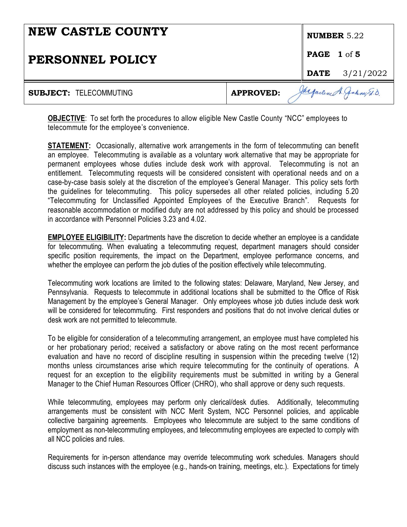| <b>NEW CASTLE COUNTY</b>      |                  |                    | NUMBER $5.22$            |
|-------------------------------|------------------|--------------------|--------------------------|
| PERSONNEL POLICY              |                  | <b>PAGE 1 of 5</b> |                          |
|                               |                  | <b>DATE</b>        | 3/21/2022                |
| <b>SUBJECT: TELECOMMUTING</b> | <b>APPROVED:</b> |                    | Jacqueline A. Jakny E.D. |

**OBJECTIVE**: To set forth the procedures to allow eligible New Castle County "NCC" employees to telecommute for the employee's convenience.

**STATEMENT:** Occasionally, alternative work arrangements in the form of telecommuting can benefit an employee. Telecommuting is available as a voluntary work alternative that may be appropriate for permanent employees whose duties include desk work with approval. Telecommuting is not an entitlement. Telecommuting requests will be considered consistent with operational needs and on a case-by-case basis solely at the discretion of the employee's General Manager. This policy sets forth the guidelines for telecommuting. This policy supersedes all other related policies, including 5.20 "Telecommuting for Unclassified Appointed Employees of the Executive Branch". Requests for reasonable accommodation or modified duty are not addressed by this policy and should be processed in accordance with Personnel Policies 3.23 and 4.02.

**EMPLOYEE ELIGIBILITY:** Departments have the discretion to decide whether an employee is a candidate for telecommuting. When evaluating a telecommuting request, department managers should consider specific position requirements, the impact on the Department, employee performance concerns, and whether the employee can perform the job duties of the position effectively while telecommuting.

Telecommuting work locations are limited to the following states: Delaware, Maryland, New Jersey, and Pennsylvania. Requests to telecommute in additional locations shall be submitted to the Office of Risk Management by the employee's General Manager. Only employees whose job duties include desk work will be considered for telecommuting. First responders and positions that do not involve clerical duties or desk work are not permitted to telecommute.

To be eligible for consideration of a telecommuting arrangement, an employee must have completed his or her probationary period; received a satisfactory or above rating on the most recent performance evaluation and have no record of discipline resulting in suspension within the preceding twelve (12) months unless circumstances arise which require telecommuting for the continuity of operations. A request for an exception to the eligibility requirements must be submitted in writing by a General Manager to the Chief Human Resources Officer (CHRO), who shall approve or deny such requests.

While telecommuting, employees may perform only clerical/desk duties. Additionally, telecommuting arrangements must be consistent with NCC Merit System, NCC Personnel policies, and applicable collective bargaining agreements. Employees who telecommute are subject to the same conditions of employment as non-telecommuting employees, and telecommuting employees are expected to comply with all NCC policies and rules.

Requirements for in-person attendance may override telecommuting work schedules. Managers should discuss such instances with the employee (e.g., hands-on training, meetings, etc.). Expectations for timely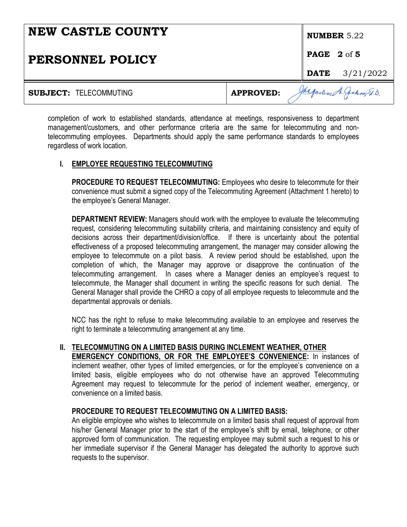| <b>NEW CASTLE COUNTY</b>      |                  | NUMBER $5.22$                 |  |                            |
|-------------------------------|------------------|-------------------------------|--|----------------------------|
| PERSONNEL POLICY              |                  | <b>PAGE</b> $2 \text{ of } 5$ |  |                            |
|                               |                  |                               |  | <b>DATE</b> $3/21/2022$    |
| <b>SUBJECT: TELECOMMUTING</b> | <b>APPROVED:</b> |                               |  | Jacqueline A. Jakeny Et.D. |

completion of work to established standards, attendance at meetings, responsiveness to department management/customers, and other performance criteria are the same for telecommuting and nontelecommuting employees. Departments should apply the same performance standards to employees regardless of work location.

### **I. EMPLOYEE REQUESTING TELECOMMUTING**

**PROCEDURE TO REQUEST TELECOMMUTING:** Employees who desire to telecommute for their convenience must submit a signed copy of the Telecommuting Agreement (Attachment 1 hereto) to the employee's General Manager.

**DEPARTMENT REVIEW:** Managers should work with the employee to evaluate the telecommuting request, considering telecommuting suitability criteria, and maintaining consistency and equity of decisions across their department/division/office. If there is uncertainty about the potential effectiveness of a proposed telecommuting arrangement, the manager may consider allowing the employee to telecommute on a pilot basis. A review period should be established, upon the completion of which, the Manager may approve or disapprove the continuation of the telecommuting arrangement. In cases where a Manager denies an employee's request to telecommute, the Manager shall document in writing the specific reasons for such denial. The General Manager shall provide the CHRO a copy of all employee requests to telecommute and the departmental approvals or denials.

NCC has the right to refuse to make telecommuting available to an employee and reserves the right to terminate a telecommuting arrangement at any time.

### **II. TELECOMMUTING ON A LIMITED BASIS DURING INCLEMENT WEATHER, OTHER**

**EMERGENCY CONDITIONS, OR FOR THE EMPLOYEE'S CONVENIENCE:** In instances of inclement weather, other types of limited emergencies, or for the employee's convenience on a limited basis, eligible employees who do not otherwise have an approved Telecommuting Agreement may request to telecommute for the period of inclement weather, emergency, or convenience on a limited basis.

### **PROCEDURE TO REQUEST TELECOMMUTING ON A LIMITED BASIS:**

An eligible employee who wishes to telecommute on a limited basis shall request of approval from his/her General Manager prior to the start of the employee's shift by email, telephone, or other approved form of communication. The requesting employee may submit such a request to his or her immediate supervisor if the General Manager has delegated the authority to approve such requests to the supervisor.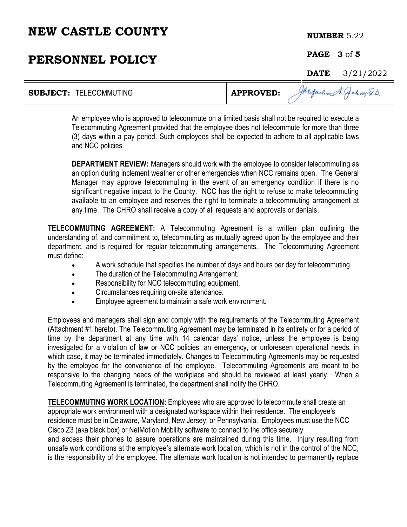| <b>NEW CASTLE COUNTY</b>      |                  | <b>NUMBER</b> $5.22$ |                         |
|-------------------------------|------------------|----------------------|-------------------------|
| PERSONNEL POLICY              |                  | <b>PAGE 3 of 5</b>   |                         |
|                               |                  |                      | <b>DATE</b> $3/21/2022$ |
| <b>SUBJECT: TELECOMMUTING</b> | <b>APPROVED:</b> | Jacqueline A.        |                         |

An employee who is approved to telecommute on a limited basis shall not be required to execute a Telecommuting Agreement provided that the employee does not telecommute for more than three (3) days within a pay period. Such employees shall be expected to adhere to all applicable laws and NCC policies.

**DEPARTMENT REVIEW:** Managers should work with the employee to consider telecommuting as an option during inclement weather or other emergencies when NCC remains open. The General Manager may approve telecommuting in the event of an emergency condition if there is no significant negative impact to the County. NCC has the right to refuse to make telecommuting available to an employee and reserves the right to terminate a telecommuting arrangement at any time. The CHRO shall receive a copy of all requests and approvals or denials.

**TELECOMMUTING AGREEMENT:** A Telecommuting Agreement is a written plan outlining the understanding of, and commitment to, telecommuting as mutually agreed upon by the employee and their department, and is required for regular telecommuting arrangements. The Telecommuting Agreement must define:

- A work schedule that specifies the number of days and hours per day for telecommuting.
- The duration of the Telecommuting Arrangement.
- Responsibility for NCC telecommuting equipment.
- Circumstances requiring on-site attendance.
- Employee agreement to maintain a safe work environment.

Employees and managers shall sign and comply with the requirements of the Telecommuting Agreement (Attachment #1 hereto). The Telecommuting Agreement may be terminated in its entirety or for a period of time by the department at any time with 14 calendar days' notice, unless the employee is being investigated for a violation of law or NCC policies, an emergency, or unforeseen operational needs, in which case, it may be terminated immediately. Changes to Telecommuting Agreements may be requested by the employee for the convenience of the employee. Telecommuting Agreements are meant to be responsive to the changing needs of the workplace and should be reviewed at least yearly. When a Telecommuting Agreement is terminated, the department shall notify the CHRO.

**TELECOMMUTING WORK LOCATION:** Employees who are approved to telecommute shall create an appropriate work environment with a designated workspace within their residence. The employee's residence must be in Delaware, Maryland, New Jersey, or Pennsylvania. Employees must use the NCC Cisco Z3 (aka black box) or NetMotion Mobility software to connect to the office securely and access their phones to assure operations are maintained during this time. Injury resulting from unsafe work conditions at the employee's alternate work location, which is not in the control of the NCC, is the responsibility of the employee. The alternate work location is not intended to permanently replace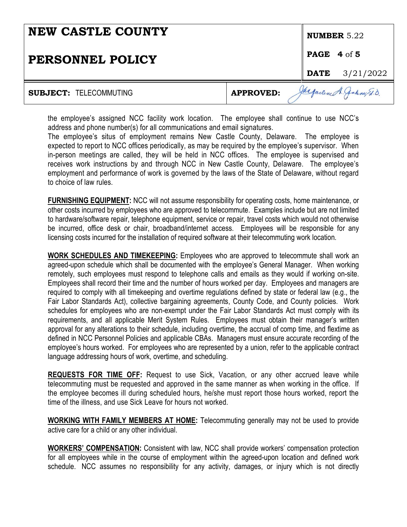| <b>NEW CASTLE COUNTY</b>      |                  | NUMBER $5.22$        |                           |
|-------------------------------|------------------|----------------------|---------------------------|
| PERSONNEL POLICY              |                  | <b>PAGE 4</b> of $5$ |                           |
|                               |                  |                      | <b>DATE</b> $3/21/2022$   |
| <b>SUBJECT: TELECOMMUTING</b> | <b>APPROVED:</b> |                      | Jurgarene A. Jakeny Et.D. |

the employee's assigned NCC facility work location. The employee shall continue to use NCC's address and phone number(s) for all communications and email signatures.

The employee's situs of employment remains New Castle County, Delaware. The employee is expected to report to NCC offices periodically, as may be required by the employee's supervisor. When in-person meetings are called, they will be held in NCC offices. The employee is supervised and receives work instructions by and through NCC in New Castle County, Delaware. The employee's employment and performance of work is governed by the laws of the State of Delaware, without regard to choice of law rules.

**FURNISHING EQUIPMENT:** NCC will not assume responsibility for operating costs, home maintenance, or other costs incurred by employees who are approved to telecommute. Examples include but are not limited to hardware/software repair, telephone equipment, service or repair, travel costs which would not otherwise be incurred, office desk or chair, broadband/internet access. Employees will be responsible for any licensing costs incurred for the installation of required software at their telecommuting work location.

**WORK SCHEDULES AND TIMEKEEPING:** Employees who are approved to telecommute shall work an agreed-upon schedule which shall be documented with the employee's General Manager. When working remotely, such employees must respond to telephone calls and emails as they would if working on-site. Employees shall record their time and the number of hours worked per day. Employees and managers are required to comply with all timekeeping and overtime regulations defined by state or federal law (e.g., the Fair Labor Standards Act), collective bargaining agreements, County Code, and County policies. Work schedules for employees who are non-exempt under the Fair Labor Standards Act must comply with its requirements, and all applicable Merit System Rules. Employees must obtain their manager's written approval for any alterations to their schedule, including overtime, the accrual of comp time, and flextime as defined in NCC Personnel Policies and applicable CBAs. Managers must ensure accurate recording of the employee's hours worked. For employees who are represented by a union, refer to the applicable contract language addressing hours of work, overtime, and scheduling.

**REQUESTS FOR TIME OFF:** Request to use Sick, Vacation, or any other accrued leave while telecommuting must be requested and approved in the same manner as when working in the office. If the employee becomes ill during scheduled hours, he/she must report those hours worked, report the time of the illness, and use Sick Leave for hours not worked.

**WORKING WITH FAMILY MEMBERS AT HOME:** Telecommuting generally may not be used to provide active care for a child or any other individual.

**WORKERS' COMPENSATION:** Consistent with law, NCC shall provide workers' compensation protection for all employees while in the course of employment within the agreed-upon location and defined work schedule. NCC assumes no responsibility for any activity, damages, or injury which is not directly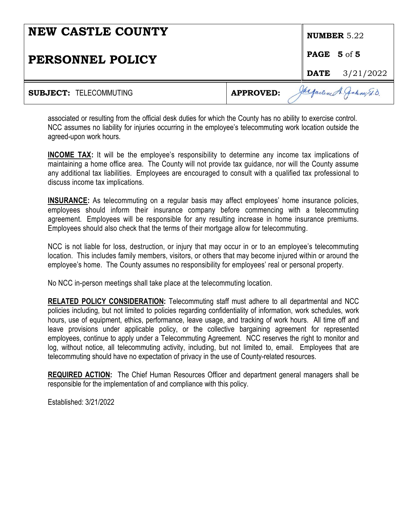| <b>NEW CASTLE COUNTY</b>      |                  | <b>NUMBER</b> $5.22$     |
|-------------------------------|------------------|--------------------------|
| PERSONNEL POLICY              |                  | PAGE 5 of 5              |
|                               |                  | <b>DATE</b> $3/21/2022$  |
| <b>SUBJECT: TELECOMMUTING</b> | <b>APPROVED:</b> | Jacqueline A. Jakny E.D. |

associated or resulting from the official desk duties for which the County has no ability to exercise control. NCC assumes no liability for injuries occurring in the employee's telecommuting work location outside the agreed-upon work hours.

**INCOME TAX:** It will be the employee's responsibility to determine any income tax implications of maintaining a home office area. The County will not provide tax guidance, nor will the County assume any additional tax liabilities. Employees are encouraged to consult with a qualified tax professional to discuss income tax implications.

**INSURANCE:** As telecommuting on a regular basis may affect employees' home insurance policies, employees should inform their insurance company before commencing with a telecommuting agreement. Employees will be responsible for any resulting increase in home insurance premiums. Employees should also check that the terms of their mortgage allow for telecommuting.

NCC is not liable for loss, destruction, or injury that may occur in or to an employee's telecommuting location. This includes family members, visitors, or others that may become injured within or around the employee's home. The County assumes no responsibility for employees' real or personal property.

No NCC in-person meetings shall take place at the telecommuting location.

**RELATED POLICY CONSIDERATION:** Telecommuting staff must adhere to all departmental and NCC policies including, but not limited to policies regarding confidentiality of information, work schedules, work hours, use of equipment, ethics, performance, leave usage, and tracking of work hours. All time off and leave provisions under applicable policy, or the collective bargaining agreement for represented employees, continue to apply under a Telecommuting Agreement. NCC reserves the right to monitor and log, without notice, all telecommuting activity, including, but not limited to, email. Employees that are telecommuting should have no expectation of privacy in the use of County-related resources.

**REQUIRED ACTION:** The Chief Human Resources Officer and department general managers shall be responsible for the implementation of and compliance with this policy.

Established: 3/21/2022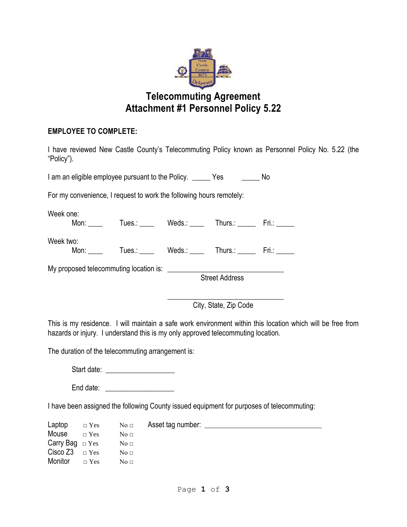

# **Telecommuting Agreement Attachment #1 Personnel Policy 5.22**

### **EMPLOYEE TO COMPLETE:**

I have reviewed New Castle County's Telecommuting Policy known as Personnel Policy No. 5.22 (the "Policy").

I am an eligible employee pursuant to the Policy. The Yes No

For my convenience, I request to work the following hours remotely:

Week one: Mon: \_\_\_\_ Tues.: \_\_\_\_ Weds.: \_\_\_\_ Thurs.: \_\_\_\_ Fri.: \_\_\_\_

Week two:

Mon: Tues.: Weds.: Thurs.: Fri.: Fileston:

My proposed telecommuting location is: \_\_\_\_\_\_\_\_\_\_\_\_\_\_\_\_\_\_\_\_\_\_\_\_\_\_\_\_\_\_\_\_

Street Address

 $\overline{\phantom{a}}$  ,  $\overline{\phantom{a}}$  ,  $\overline{\phantom{a}}$  ,  $\overline{\phantom{a}}$  ,  $\overline{\phantom{a}}$  ,  $\overline{\phantom{a}}$  ,  $\overline{\phantom{a}}$  ,  $\overline{\phantom{a}}$  ,  $\overline{\phantom{a}}$  ,  $\overline{\phantom{a}}$  ,  $\overline{\phantom{a}}$  ,  $\overline{\phantom{a}}$  ,  $\overline{\phantom{a}}$  ,  $\overline{\phantom{a}}$  ,  $\overline{\phantom{a}}$  ,  $\overline{\phantom{a}}$ City, State, Zip Code

This is my residence. I will maintain a safe work environment within this location which will be free from hazards or injury. I understand this is my only approved telecommuting location.

The duration of the telecommuting arrangement is:

Start date:  $\Box$ 

End date: \_\_\_\_\_\_\_\_\_\_\_\_\_\_\_\_\_\_\_

I have been assigned the following County issued equipment for purposes of telecommuting:

Laptop □ Yes No □ Asset tag number: \_\_\_\_\_\_\_\_\_\_\_\_\_\_\_\_\_\_\_\_\_\_\_\_\_\_\_\_\_\_\_\_\_\_\_ Mouse  $\Box$  Yes No  $\Box$ Carry Bag  $□$  Yes No  $□$ Cisco  $Z3 \overline{)}$   $\overline{ }$  Yes No  $\overline{ }$ <br>Monitor  $Z3 \overline{)}$  No  $\overline{ }$ Monitor  $\Box$  Yes No  $\Box$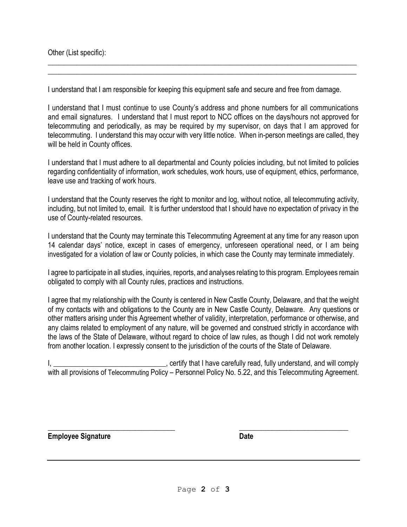Other (List specific):

I understand that I am responsible for keeping this equipment safe and secure and free from damage.

 $\_$  , and the set of the set of the set of the set of the set of the set of the set of the set of the set of the set of the set of the set of the set of the set of the set of the set of the set of the set of the set of th \_\_\_\_\_\_\_\_\_\_\_\_\_\_\_\_\_\_\_\_\_\_\_\_\_\_\_\_\_\_\_\_\_\_\_\_\_\_\_\_\_\_\_\_\_\_\_\_\_\_\_\_\_\_\_\_\_\_\_\_\_\_\_\_\_\_\_\_\_\_\_\_\_\_\_\_\_\_\_\_\_\_\_\_\_

I understand that I must continue to use County's address and phone numbers for all communications and email signatures. I understand that I must report to NCC offices on the days/hours not approved for telecommuting and periodically, as may be required by my supervisor, on days that I am approved for telecommuting. I understand this may occur with very little notice. When in-person meetings are called, they will be held in County offices.

I understand that I must adhere to all departmental and County policies including, but not limited to policies regarding confidentiality of information, work schedules, work hours, use of equipment, ethics, performance, leave use and tracking of work hours.

I understand that the County reserves the right to monitor and log, without notice, all telecommuting activity, including, but not limited to, email. It is further understood that I should have no expectation of privacy in the use of County-related resources.

I understand that the County may terminate this Telecommuting Agreement at any time for any reason upon 14 calendar days' notice, except in cases of emergency, unforeseen operational need, or I am being investigated for a violation of law or County policies, in which case the County may terminate immediately.

I agree to participate in all studies, inquiries, reports, and analyses relating to this program. Employees remain obligated to comply with all County rules, practices and instructions.

I agree that my relationship with the County is centered in New Castle County, Delaware, and that the weight of my contacts with and obligations to the County are in New Castle County, Delaware. Any questions or other matters arising under this Agreement whether of validity, interpretation, performance or otherwise, and any claims related to employment of any nature, will be governed and construed strictly in accordance with the laws of the State of Delaware, without regard to choice of law rules, as though I did not work remotely from another location. I expressly consent to the jurisdiction of the courts of the State of Delaware.

, certify that I have carefully read, fully understand, and will comply with all provisions of Telecommuting Policy – Personnel Policy No. 5.22, and this Telecommuting Agreement.

**\_\_\_\_\_\_\_\_\_\_\_\_\_\_\_\_\_\_\_\_\_\_\_\_\_\_\_\_\_\_\_\_\_\_\_ \_\_\_\_\_\_\_\_\_\_\_\_\_\_\_\_\_\_\_\_\_\_\_\_\_\_\_\_\_\_**

**Employee Signature Date**